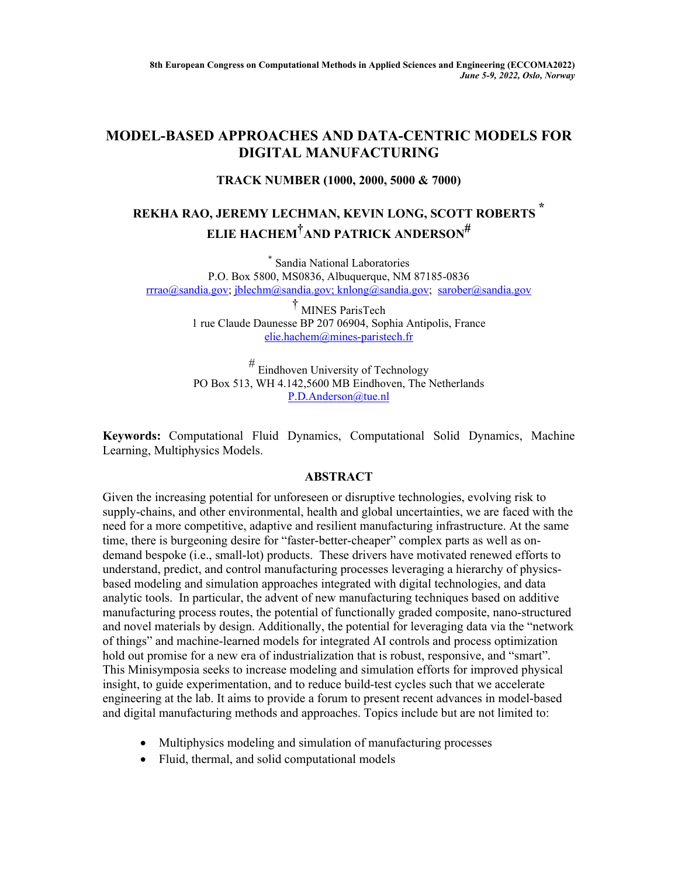## **MODEL-BASED APPROACHES AND DATA-CENTRIC MODELS FOR DIGITAL MANUFACTURING**

## **TRACK NUMBER (1000, 2000, 5000 & 7000)**

## **REKHA RAO, JEREMY LECHMAN, KEVIN LONG, SCOTT ROBERTS \* ELIE HACHEM†AND PATRICK ANDERSON#**

\* Sandia National Laboratories P.O. Box 5800, MS0836, Albuquerque, NM 87185-0836 rrrao@sandia.gov; jblechm@sandia.gov; knlong@sandia.gov; sarober@sandia.gov

> † MINES ParisTech 1 rue Claude Daunesse BP 207 06904, Sophia Antipolis, France elie.hachem@mines-paristech.fr

> # Eindhoven University of Technology PO Box 513, WH 4.142,5600 MB Eindhoven, The Netherlands P.D.Anderson@tue.nl

**Keywords:** Computational Fluid Dynamics, Computational Solid Dynamics, Machine Learning, Multiphysics Models.

## **ABSTRACT**

Given the increasing potential for unforeseen or disruptive technologies, evolving risk to supply-chains, and other environmental, health and global uncertainties, we are faced with the need for a more competitive, adaptive and resilient manufacturing infrastructure. At the same time, there is burgeoning desire for "faster-better-cheaper" complex parts as well as ondemand bespoke (i.e., small-lot) products. These drivers have motivated renewed efforts to understand, predict, and control manufacturing processes leveraging a hierarchy of physicsbased modeling and simulation approaches integrated with digital technologies, and data analytic tools. In particular, the advent of new manufacturing techniques based on additive manufacturing process routes, the potential of functionally graded composite, nano-structured and novel materials by design. Additionally, the potential for leveraging data via the "network of things" and machine-learned models for integrated AI controls and process optimization hold out promise for a new era of industrialization that is robust, responsive, and "smart". This Minisymposia seeks to increase modeling and simulation efforts for improved physical insight, to guide experimentation, and to reduce build-test cycles such that we accelerate engineering at the lab. It aims to provide a forum to present recent advances in model-based and digital manufacturing methods and approaches. Topics include but are not limited to:

- Multiphysics modeling and simulation of manufacturing processes
- Fluid, thermal, and solid computational models